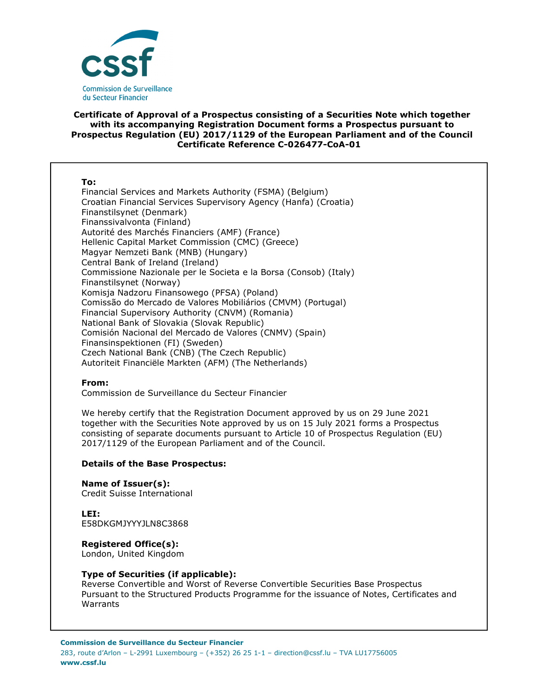

# **Certificate of Approval of a Prospectus consisting of a Securities Note which together with its accompanying Registration Document forms a Prospectus pursuant to Prospectus Regulation (EU) 2017/1129 of the European Parliament and of the Council Certificate Reference C-026477-CoA-01**

#### **To:**

Financial Services and Markets Authority (FSMA) (Belgium) Croatian Financial Services Supervisory Agency (Hanfa) (Croatia) Finanstilsynet (Denmark) Finanssivalvonta (Finland) Autorité des Marchés Financiers (AMF) (France) Hellenic Capital Market Commission (CMC) (Greece) Magyar Nemzeti Bank (MNB) (Hungary) Central Bank of Ireland (Ireland) Commissione Nazionale per le Societa e la Borsa (Consob) (Italy) Finanstilsynet (Norway) Komisja Nadzoru Finansowego (PFSA) (Poland) Comissão do Mercado de Valores Mobiliários (CMVM) (Portugal) Financial Supervisory Authority (CNVM) (Romania) National Bank of Slovakia (Slovak Republic) Comisión Nacional del Mercado de Valores (CNMV) (Spain) Finansinspektionen (FI) (Sweden) Czech National Bank (CNB) (The Czech Republic) Autoriteit Financiële Markten (AFM) (The Netherlands)

# **From:**

Commission de Surveillance du Secteur Financier

We hereby certify that the Registration Document approved by us on 29 June 2021 together with the Securities Note approved by us on 15 July 2021 forms a Prospectus consisting of separate documents pursuant to Article 10 of Prospectus Regulation (EU) 2017/1129 of the European Parliament and of the Council.

# **Details of the Base Prospectus:**

**Name of Issuer(s):**  Credit Suisse International

**LEI:** E58DKGMJYYYJLN8C3868

**Registered Office(s):** 

London, United Kingdom

# **Type of Securities (if applicable):**

Reverse Convertible and Worst of Reverse Convertible Securities Base Prospectus Pursuant to the Structured Products Programme for the issuance of Notes, Certificates and Warrants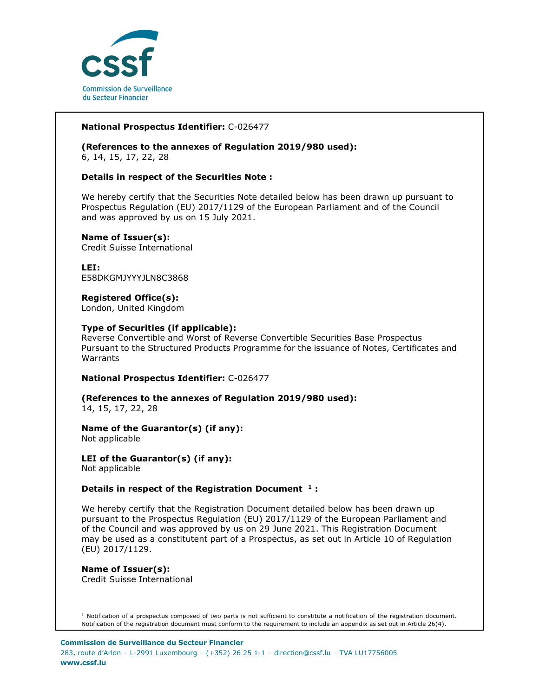

# **National Prospectus Identifier:** C-026477

**(References to the annexes of Regulation 2019/980 used):**  6, 14, 15, 17, 22, 28

# **Details in respect of the Securities Note :**

We hereby certify that the Securities Note detailed below has been drawn up pursuant to Prospectus Regulation (EU) 2017/1129 of the European Parliament and of the Council and was approved by us on 15 July 2021.

#### **Name of Issuer(s):**

Credit Suisse International

**LEI:** E58DKGMJYYYJLN8C3868

# **Registered Office(s):**

London, United Kingdom

#### **Type of Securities (if applicable):**

Reverse Convertible and Worst of Reverse Convertible Securities Base Prospectus Pursuant to the Structured Products Programme for the issuance of Notes, Certificates and Warrants

**National Prospectus Identifier:** C-026477

**(References to the annexes of Regulation 2019/980 used):**  14, 15, 17, 22, 28

**Name of the Guarantor(s) (if any):**  Not applicable

**LEI of the Guarantor(s) (if any):**  Not applicable

#### **Details in respect of the Registration Document <sup>1</sup> :**

We hereby certify that the Registration Document detailed below has been drawn up pursuant to the Prospectus Regulation (EU) 2017/1129 of the European Parliament and of the Council and was approved by us on 29 June 2021. This Registration Document may be used as a constitutent part of a Prospectus, as set out in Article 10 of Regulation (EU) 2017/1129.

**Name of Issuer(s):**  Credit Suisse International

 $1$  Notification of a prospectus composed of two parts is not sufficient to constitute a notification of the registration document. Notification of the registration document must conform to the requirement to include an appendix as set out in Article 26(4).